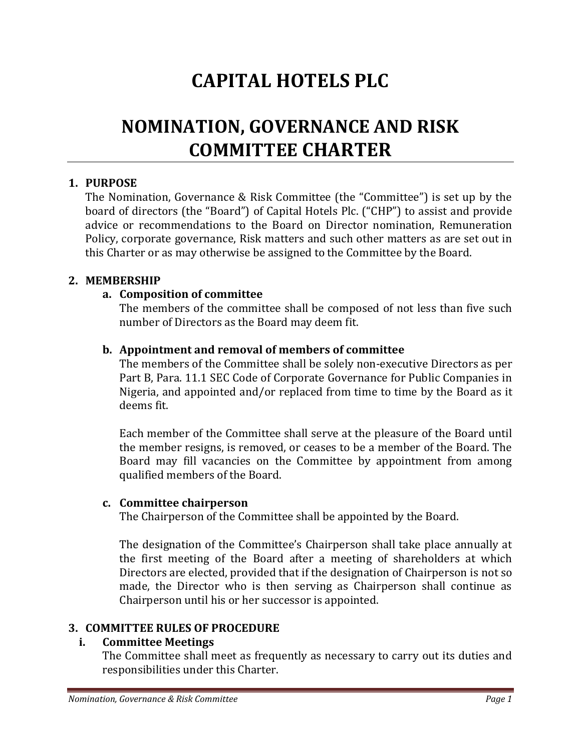# **CAPITAL HOTELS PLC**

## **NOMINATION, GOVERNANCE AND RISK COMMITTEE CHARTER**

## **1. PURPOSE**

The Nomination, Governance & Risk Committee (the "Committee") is set up by the board of directors (the "Board") of Capital Hotels Plc. ("CHP") to assist and provide advice or recommendations to the Board on Director nomination, Remuneration Policy, corporate governance, Risk matters and such other matters as are set out in this Charter or as may otherwise be assigned to the Committee by the Board.

#### **2. MEMBERSHIP**

### **a. Composition of committee**

The members of the committee shall be composed of not less than five such number of Directors as the Board may deem fit.

### **b. Appointment and removal of members of committee**

The members of the Committee shall be solely non-executive Directors as per Part B, Para. 11.1 SEC Code of Corporate Governance for Public Companies in Nigeria, and appointed and/or replaced from time to time by the Board as it deems fit.

Each member of the Committee shall serve at the pleasure of the Board until the member resigns, is removed, or ceases to be a member of the Board. The Board may fill vacancies on the Committee by appointment from among qualified members of the Board.

#### **c. Committee chairperson**

The Chairperson of the Committee shall be appointed by the Board.

The designation of the Committee's Chairperson shall take place annually at the first meeting of the Board after a meeting of shareholders at which Directors are elected, provided that if the designation of Chairperson is not so made, the Director who is then serving as Chairperson shall continue as Chairperson until his or her successor is appointed.

### **3. COMMITTEE RULES OF PROCEDURE**

## **i. Committee Meetings**

The Committee shall meet as frequently as necessary to carry out its duties and responsibilities under this Charter.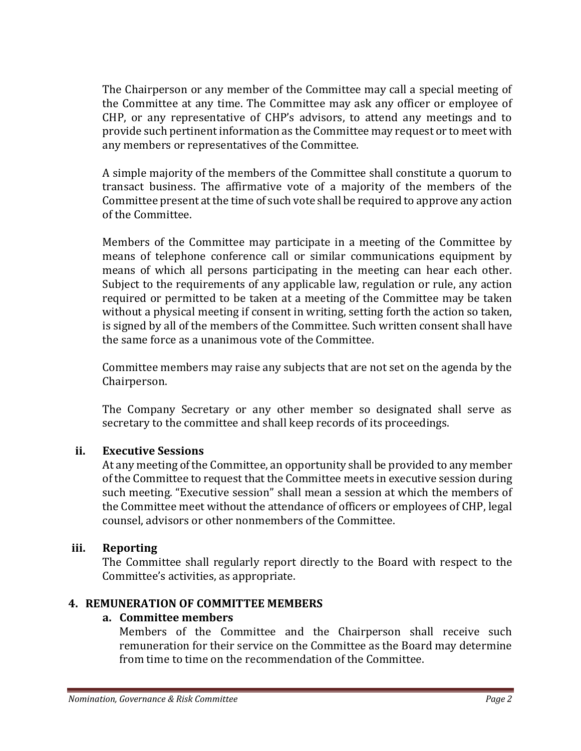The Chairperson or any member of the Committee may call a special meeting of the Committee at any time. The Committee may ask any officer or employee of CHP, or any representative of CHP's advisors, to attend any meetings and to provide such pertinent information as the Committee may request or to meet with any members or representatives of the Committee.

A simple majority of the members of the Committee shall constitute a quorum to transact business. The affirmative vote of a majority of the members of the Committee present at the time of such vote shall be required to approve any action of the Committee.

Members of the Committee may participate in a meeting of the Committee by means of telephone conference call or similar communications equipment by means of which all persons participating in the meeting can hear each other. Subject to the requirements of any applicable law, regulation or rule, any action required or permitted to be taken at a meeting of the Committee may be taken without a physical meeting if consent in writing, setting forth the action so taken, is signed by all of the members of the Committee. Such written consent shall have the same force as a unanimous vote of the Committee.

Committee members may raise any subjects that are not set on the agenda by the Chairperson.

The Company Secretary or any other member so designated shall serve as secretary to the committee and shall keep records of its proceedings.

### **ii. Executive Sessions**

At any meeting of the Committee, an opportunity shall be provided to any member of the Committee to request that the Committee meets in executive session during such meeting. "Executive session" shall mean a session at which the members of the Committee meet without the attendance of officers or employees of CHP, legal counsel, advisors or other nonmembers of the Committee.

### **iii. Reporting**

The Committee shall regularly report directly to the Board with respect to the Committee's activities, as appropriate.

### **4. REMUNERATION OF COMMITTEE MEMBERS**

### **a. Committee members**

Members of the Committee and the Chairperson shall receive such remuneration for their service on the Committee as the Board may determine from time to time on the recommendation of the Committee.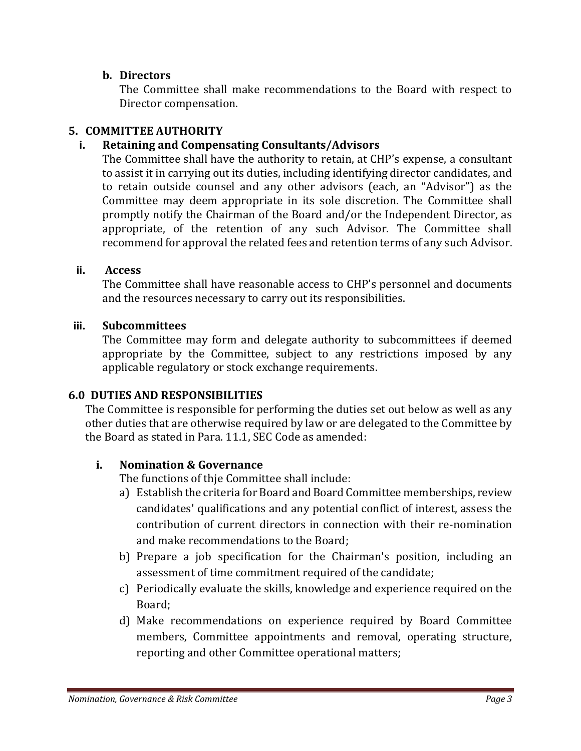## **b. Directors**

The Committee shall make recommendations to the Board with respect to Director compensation.

## **5. COMMITTEE AUTHORITY**

## **i. Retaining and Compensating Consultants/Advisors**

The Committee shall have the authority to retain, at CHP's expense, a consultant to assist it in carrying out its duties, including identifying director candidates, and to retain outside counsel and any other advisors (each, an "Advisor") as the Committee may deem appropriate in its sole discretion. The Committee shall promptly notify the Chairman of the Board and/or the Independent Director, as appropriate, of the retention of any such Advisor. The Committee shall recommend for approval the related fees and retention terms of any such Advisor.

### **ii. Access**

The Committee shall have reasonable access to CHP's personnel and documents and the resources necessary to carry out its responsibilities.

## **iii. Subcommittees**

The Committee may form and delegate authority to subcommittees if deemed appropriate by the Committee, subject to any restrictions imposed by any applicable regulatory or stock exchange requirements.

### **6.0 DUTIES AND RESPONSIBILITIES**

The Committee is responsible for performing the duties set out below as well as any other duties that are otherwise required by law or are delegated to the Committee by the Board as stated in Para. 11.1, SEC Code as amended:

## **i. Nomination & Governance**

The functions of thje Committee shall include:

- a) Establish the criteria for Board and Board Committee memberships, review candidates' qualifications and any potential conflict of interest, assess the contribution of current directors in connection with their re-nomination and make recommendations to the Board;
- b) Prepare a job specification for the Chairman's position, including an assessment of time commitment required of the candidate;
- c) Periodically evaluate the skills, knowledge and experience required on the Board;
- d) Make recommendations on experience required by Board Committee members, Committee appointments and removal, operating structure, reporting and other Committee operational matters;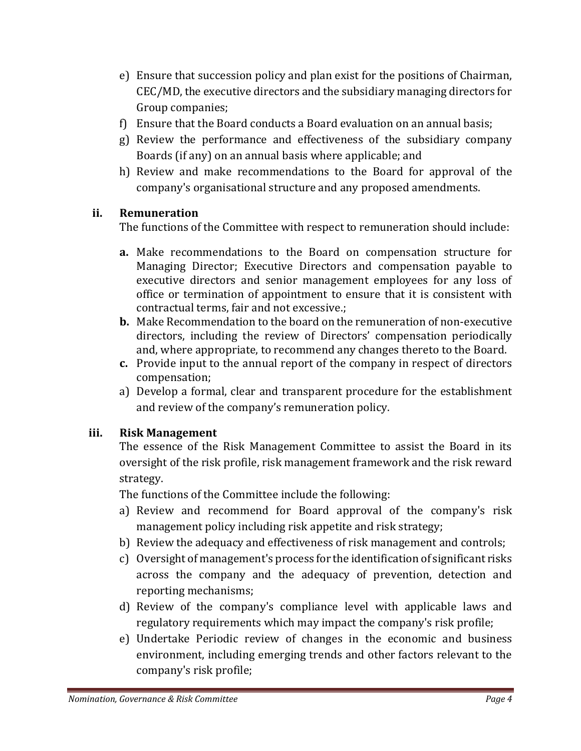- e) Ensure that succession policy and plan exist for the positions of Chairman, CEC/MD, the executive directors and the subsidiary managing directors for Group companies;
- f) Ensure that the Board conducts a Board evaluation on an annual basis;
- g) Review the performance and effectiveness of the subsidiary company Boards (if any) on an annual basis where applicable; and
- h) Review and make recommendations to the Board for approval of the company's organisational structure and any proposed amendments.

## **ii. Remuneration**

The functions of the Committee with respect to remuneration should include:

- **a.** Make recommendations to the Board on compensation structure for Managing Director; Executive Directors and compensation payable to executive directors and senior management employees for any loss of office or termination of appointment to ensure that it is consistent with contractual terms, fair and not excessive.;
- **b.** Make Recommendation to the board on the remuneration of non-executive directors, including the review of Directors' compensation periodically and, where appropriate, to recommend any changes thereto to the Board.
- **c.** Provide input to the annual report of the company in respect of directors compensation;
- a) Develop a formal, clear and transparent procedure for the establishment and review of the company's remuneration policy.

## **iii. Risk Management**

The essence of the Risk Management Committee to assist the Board in its oversight of the risk profile, risk management framework and the risk reward strategy.

The functions of the Committee include the following:

- a) Review and recommend for Board approval of the company's risk management policy including risk appetite and risk strategy;
- b) Review the adequacy and effectiveness of risk management and controls;
- c) Oversight of management's process for the identification of significant risks across the company and the adequacy of prevention, detection and reporting mechanisms;
- d) Review of the company's compliance level with applicable laws and regulatory requirements which may impact the company's risk profile;
- e) Undertake Periodic review of changes in the economic and business environment, including emerging trends and other factors relevant to the company's risk profile;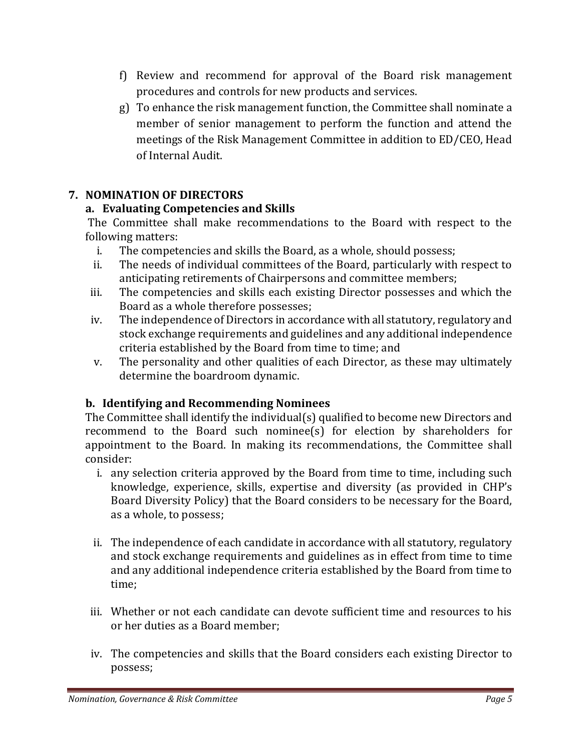- f) Review and recommend for approval of the Board risk management procedures and controls for new products and services.
- g) To enhance the risk management function, the Committee shall nominate a member of senior management to perform the function and attend the meetings of the Risk Management Committee in addition to ED/CEO, Head of Internal Audit.

## **7. NOMINATION OF DIRECTORS**

## **a. Evaluating Competencies and Skills**

The Committee shall make recommendations to the Board with respect to the following matters:

- i. The competencies and skills the Board, as a whole, should possess;
- ii. The needs of individual committees of the Board, particularly with respect to anticipating retirements of Chairpersons and committee members;
- iii. The competencies and skills each existing Director possesses and which the Board as a whole therefore possesses;
- iv. The independence of Directors in accordance with all statutory, regulatory and stock exchange requirements and guidelines and any additional independence criteria established by the Board from time to time; and
- v. The personality and other qualities of each Director, as these may ultimately determine the boardroom dynamic.

## **b. Identifying and Recommending Nominees**

The Committee shall identify the individual(s) qualified to become new Directors and recommend to the Board such nominee(s) for election by shareholders for appointment to the Board. In making its recommendations, the Committee shall consider:

- i. any selection criteria approved by the Board from time to time, including such knowledge, experience, skills, expertise and diversity (as provided in CHP's Board Diversity Policy) that the Board considers to be necessary for the Board, as a whole, to possess;
- ii. The independence of each candidate in accordance with all statutory, regulatory and stock exchange requirements and guidelines as in effect from time to time and any additional independence criteria established by the Board from time to time;
- iii. Whether or not each candidate can devote sufficient time and resources to his or her duties as a Board member;
- iv. The competencies and skills that the Board considers each existing Director to possess;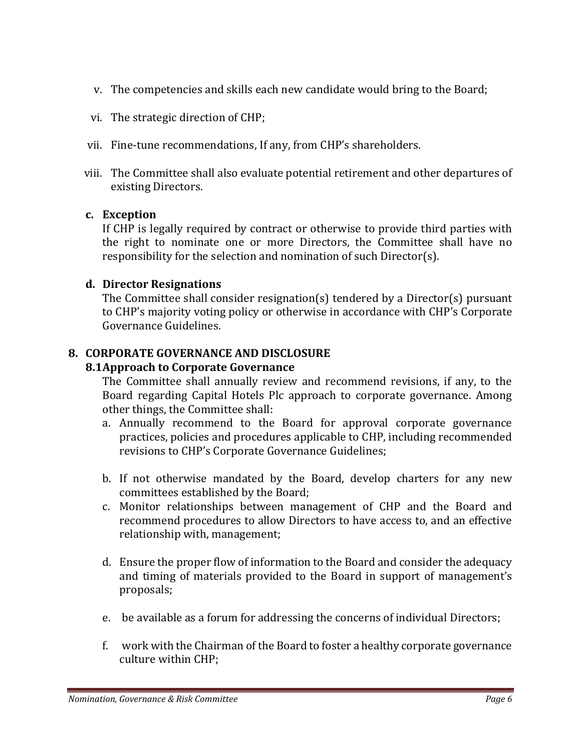- v. The competencies and skills each new candidate would bring to the Board;
- vi. The strategic direction of CHP;
- vii. Fine-tune recommendations, If any, from CHP's shareholders.
- viii. The Committee shall also evaluate potential retirement and other departures of existing Directors.

## **c. Exception**

If CHP is legally required by contract or otherwise to provide third parties with the right to nominate one or more Directors, the Committee shall have no responsibility for the selection and nomination of such Director(s).

## **d. Director Resignations**

The Committee shall consider resignation(s) tendered by a Director(s) pursuant to CHP's majority voting policy or otherwise in accordance with CHP's Corporate Governance Guidelines.

## **8. CORPORATE GOVERNANCE AND DISCLOSURE**

## **8.1Approach to Corporate Governance**

The Committee shall annually review and recommend revisions, if any, to the Board regarding Capital Hotels Plc approach to corporate governance. Among other things, the Committee shall:

- a. Annually recommend to the Board for approval corporate governance practices, policies and procedures applicable to CHP, including recommended revisions to CHP's Corporate Governance Guidelines;
- b. If not otherwise mandated by the Board, develop charters for any new committees established by the Board;
- c. Monitor relationships between management of CHP and the Board and recommend procedures to allow Directors to have access to, and an effective relationship with, management;
- d. Ensure the proper flow of information to the Board and consider the adequacy and timing of materials provided to the Board in support of management's proposals;
- e. be available as a forum for addressing the concerns of individual Directors;
- f. work with the Chairman of the Board to foster a healthy corporate governance culture within CHP;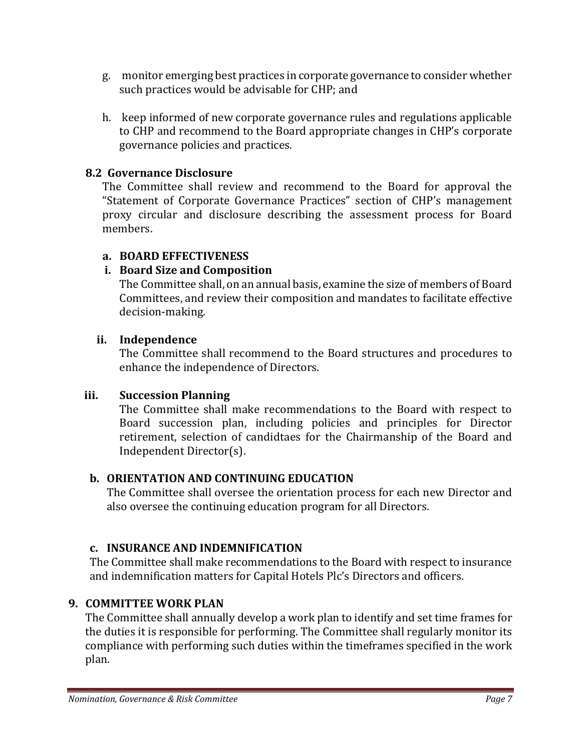- g. monitor emerging best practices in corporate governance to consider whether such practices would be advisable for CHP; and
- h. keep informed of new corporate governance rules and regulations applicable to CHP and recommend to the Board appropriate changes in CHP's corporate governance policies and practices.

## **8.2 Governance Disclosure**

The Committee shall review and recommend to the Board for approval the "Statement of Corporate Governance Practices" section of CHP's management proxy circular and disclosure describing the assessment process for Board members.

### **a. BOARD EFFECTIVENESS**

## **i. Board Size and Composition**

The Committee shall, on an annual basis, examine the size of members of Board Committees, and review their composition and mandates to facilitate effective decision-making.

## **ii. Independence**

The Committee shall recommend to the Board structures and procedures to enhance the independence of Directors.

## **iii. Succession Planning**

The Committee shall make recommendations to the Board with respect to Board succession plan, including policies and principles for Director retirement, selection of candidtaes for the Chairmanship of the Board and Independent Director(s).

## **b. ORIENTATION AND CONTINUING EDUCATION**

The Committee shall oversee the orientation process for each new Director and also oversee the continuing education program for all Directors.

## **c. INSURANCE AND INDEMNIFICATION**

The Committee shall make recommendations to the Board with respect to insurance and indemnification matters for Capital Hotels Plc's Directors and officers.

## **9. COMMITTEE WORK PLAN**

The Committee shall annually develop a work plan to identify and set time frames for the duties it is responsible for performing. The Committee shall regularly monitor its compliance with performing such duties within the timeframes specified in the work plan.